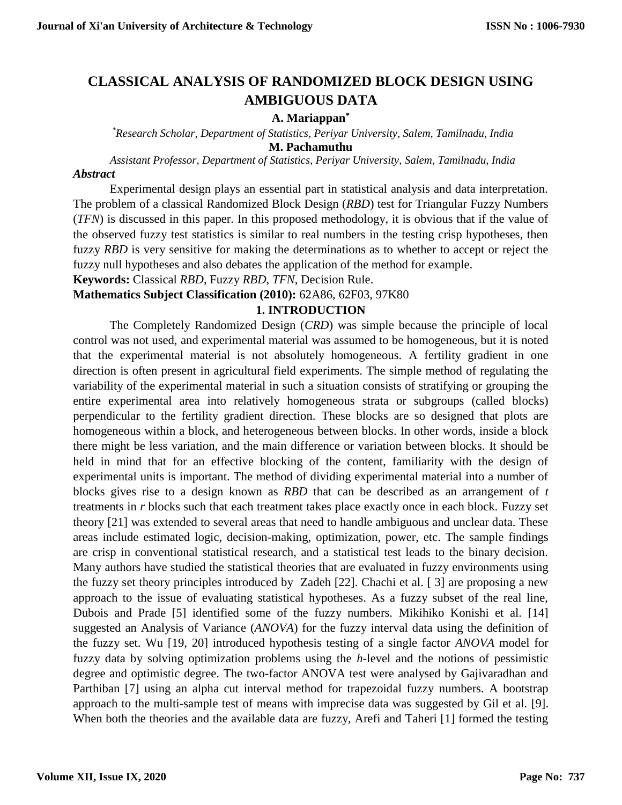# **CLASSICAL ANALYSIS OF RANDOMIZED BLOCK DESIGN USING AMBIGUOUS DATA**

# **A. Mariappan\***

 *\*Research Scholar, Department of Statistics, Periyar University, Salem, Tamilnadu, India* **M. Pachamuthu** 

*Assistant Professor, Department of Statistics, Periyar University, Salem, Tamilnadu, India*

### *Abstract*

Experimental design plays an essential part in statistical analysis and data interpretation. The problem of a classical Randomized Block Design (*RBD*) test for Triangular Fuzzy Numbers (*TFN*) is discussed in this paper. In this proposed methodology, it is obvious that if the value of the observed fuzzy test statistics is similar to real numbers in the testing crisp hypotheses, then fuzzy *RBD* is very sensitive for making the determinations as to whether to accept or reject the fuzzy null hypotheses and also debates the application of the method for example.

**Keywords:** Classical *RBD*, Fuzzy *RBD*, *TFN*, Decision Rule.

# **Mathematics Subject Classification (2010):** 62A86, 62F03, 97K80

# **1. INTRODUCTION**

The Completely Randomized Design (*CRD*) was simple because the principle of local control was not used, and experimental material was assumed to be homogeneous, but it is noted that the experimental material is not absolutely homogeneous. A fertility gradient in one direction is often present in agricultural field experiments. The simple method of regulating the variability of the experimental material in such a situation consists of stratifying or grouping the entire experimental area into relatively homogeneous strata or subgroups (called blocks) perpendicular to the fertility gradient direction. These blocks are so designed that plots are homogeneous within a block, and heterogeneous between blocks. In other words, inside a block there might be less variation, and the main difference or variation between blocks. It should be held in mind that for an effective blocking of the content, familiarity with the design of experimental units is important. The method of dividing experimental material into a number of blocks gives rise to a design known as *RBD* that can be described as an arrangement of *t* treatments in *r* blocks such that each treatment takes place exactly once in each block. Fuzzy set theory [21] was extended to several areas that need to handle ambiguous and unclear data. These areas include estimated logic, decision-making, optimization, power, etc. The sample findings are crisp in conventional statistical research, and a statistical test leads to the binary decision. Many authors have studied the statistical theories that are evaluated in fuzzy environments using the fuzzy set theory principles introduced by Zadeh [22]. Chachi et al. [ 3] are proposing a new approach to the issue of evaluating statistical hypotheses. As a fuzzy subset of the real line, Dubois and Prade [5] identified some of the fuzzy numbers. Mikihiko Konishi et al. [14] suggested an Analysis of Variance (*ANOVA*) for the fuzzy interval data using the definition of the fuzzy set. Wu [19, 20] introduced hypothesis testing of a single factor *ANOVA* model for fuzzy data by solving optimization problems using the *h*-level and the notions of pessimistic degree and optimistic degree. The two-factor ANOVA test were analysed by Gajivaradhan and Parthiban [7] using an alpha cut interval method for trapezoidal fuzzy numbers. A bootstrap approach to the multi-sample test of means with imprecise data was suggested by Gil et al. [9]. When both the theories and the available data are fuzzy, Arefi and Taheri [1] formed the testing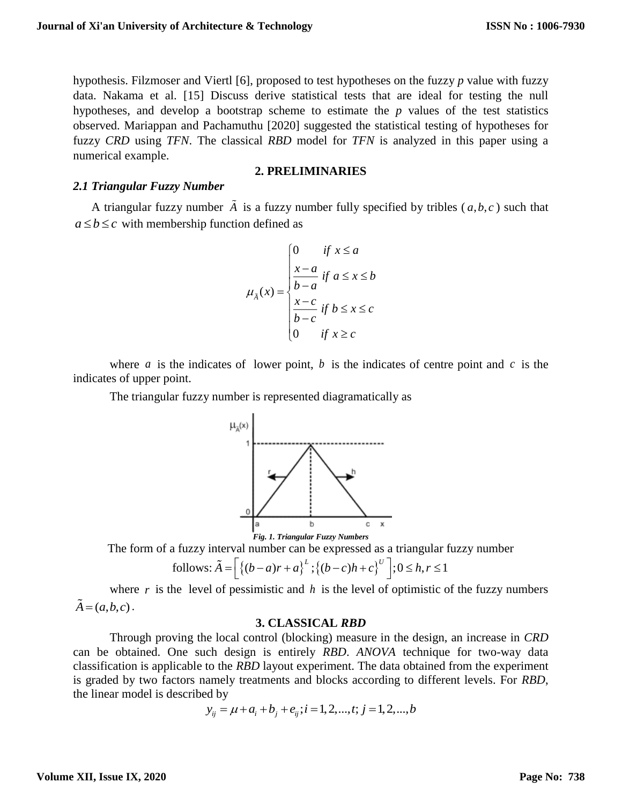hypothesis. Filzmoser and Viertl [6], proposed to test hypotheses on the fuzzy *p* value with fuzzy data. Nakama et al. [15] Discuss derive statistical tests that are ideal for testing the null hypotheses, and develop a bootstrap scheme to estimate the *p* values of the test statistics observed. Mariappan and Pachamuthu [2020] suggested the statistical testing of hypotheses for fuzzy *CRD* using *TFN*. The classical *RBD* model for *TFN* is analyzed in this paper using a numerical example.

#### **2. PRELIMINARIES**

#### *2.1 Triangular Fuzzy Number*

A triangular fuzzy number  $\overline{A}$  is a fuzzy number fully specified by tribles  $(a,b,c)$  such that  $a \leq b \leq c$  with membership function defined as

$$
\mu_{\tilde{A}}(x) = \begin{cases}\n0 & \text{if } x \le a \\
\frac{x-a}{b-a} & \text{if } a \le x \le b \\
\frac{x-c}{b-c} & \text{if } b \le x \le c \\
0 & \text{if } x \ge c\n\end{cases}
$$

where *a* is the indicates of lower point, *b* is the indicates of centre point and *c* is the indicates of upper point.

The triangular fuzzy number is represented diagramatically as



The form of a fuzzy interval number can be expressed as a triangular fuzzy number

follows: 
$$
\tilde{A} = \left[ \left\{ (b-a)r + a \right\}^L; \left\{ (b-c)h + c \right\}^U \right]; 0 \le h, r \le 1
$$

where  $r$  is the level of pessimistic and  $h$  is the level of optimistic of the fuzzy numbers  $A = (a, b, c)$ .

#### **3. CLASSICAL** *RBD*

Through proving the local control (blocking) measure in the design, an increase in *CRD* can be obtained. One such design is entirely *RBD*. *ANOVA* technique for two-way data classification is applicable to the *RBD* layout experiment. The data obtained from the experiment is graded by two factors namely treatments and blocks according to different levels. For *RBD*, the linear model is described by

$$
y_{ij} = \mu + a_i + b_j + e_{ij}; i = 1, 2, ..., t; j = 1, 2, ..., b
$$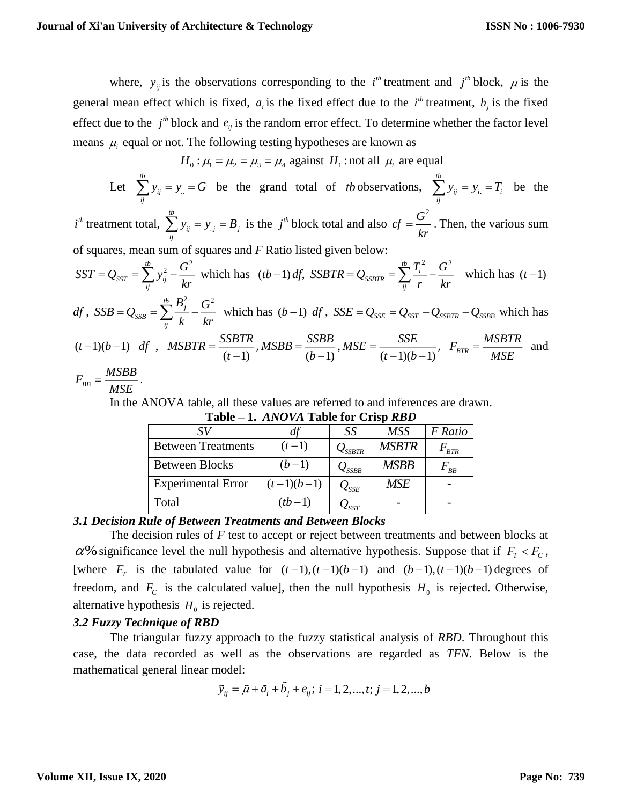where,  $y_{ij}$  is the observations corresponding to the *i*<sup>th</sup> treatment and *j*<sup>th</sup> block,  $\mu$  is the general mean effect which is fixed,  $a_i$  is the fixed effect due to the  $i^h$  treatment,  $b_j$  is the fixed effect due to the  $j<sup>th</sup>$  block and  $e_{ij}$  is the random error effect. To determine whether the factor level means  $\mu_i$  equal or not. The following testing hypotheses are known as

 $H_0: \mu_1 = \mu_2 = \mu_3 = \mu_4$  against  $H_1$ : not all  $\mu_i$  are equal

Let  $\sum y_{ii} = y_{...}$ *tb ij ij*  $\sum y_{ij} = y_i = G$  be the grand total of *tb* observations,  $\sum y_{ij} = y_i$ . *tb ij i i ij*  $\sum y_{ij} = y_i = T_i$  be the  $i^{th}$  treatment total,  $\sum y_{ii} = y_{ii}$ *tb ij j j ij*  $\sum_{i=1}^{b} y_{ij} = y_{ij} = B_j$  is the *j*<sup>th</sup> block total and also  $cf = \frac{G^2}{L^2}$  $cf = \frac{G}{kr}$ . Then, the various sum of squares, mean sum of squares and *F* Ratio listed given below:  $\frac{1}{2}$   $\frac{1}{2}$   $G^2$ *SST ij ij*  $SST = Q_{SST} = \sum_{ii}^{ib} y_{ij}^2 - \frac{G^2}{kr}$  which has  $(tb-1) df$ ,  $t_{SSBTR} = \sum_{i}^{tb} \frac{T_i^2}{T_i} - \frac{G^2}{T_i}$ *ij*  $SSBTR = Q_{SSBTR} = \sum_{ii}^{ib} \frac{T_i^2}{r} - \frac{G^2}{kr}$  which has  $(t-1)$ *df* ,  $\frac{1}{SSB} = \sum_{i}^{tb} \frac{B_i^2}{I} - \frac{G^2}{I}$ *ij*  $B^{\scriptscriptstyle\tiny \pm}_i$  *G*  $SSB = Q_{SSB} = \sum_{i} \frac{D_i}{k} - \frac{G}{kr}$  which has  $(b-1)$  *df*,  $SSE = Q_{SSE} = Q_{SST} - Q_{SSBTR} - Q_{SSBB}$  which has  $(t-1)(b-1)$  *df*,  $(t-1)$ *SSBTR MSBTR*  $=\frac{33211}{(t-1)}$ ,  $(b-1)$ *SSBB MSBB*  $=\frac{35 BD}{(b-1)},$  $(t-1)(b-1)$ *SSE MSE*  $=\frac{SSE}{(t-1)(b-1)},\;\;F_{BTR}=\frac{MSBTR}{MSE}$  $=\frac{MSEH}{MSE}$  and

$$
F_{BB} = \frac{MSBB}{MSE}.
$$

In the ANOVA table, all these values are referred to and inferences are drawn.

|                           |              | SS                                  | <b>MSS</b>   | F Ratio   |
|---------------------------|--------------|-------------------------------------|--------------|-----------|
| <b>Between Treatments</b> | $(t-1)$      | $\mathcal{Q}_{SSBTR}$               | <b>MSBTR</b> | $F_{BTR}$ |
| <b>Between Blocks</b>     | $(b-1)$      | $\mathcal{Q}_{SSBB}$                | <b>MSBB</b>  | $F_{BB}$  |
| <b>Experimental Error</b> | $(t-1)(b-1)$ | $\mathcal{Q}_{\textit{\text{SSE}}}$ | <b>MSE</b>   |           |
| Total                     | $(tb-1)$     |                                     |              |           |

**Table – 1.** *ANOVA* **Table for Crisp** *RBD*

# *3.1 Decision Rule of Between Treatments and Between Blocks*

The decision rules of *F* test to accept or reject between treatments and between blocks at  $\alpha$ % significance level the null hypothesis and alternative hypothesis. Suppose that if  $F_T < F_C$ , [where  $F_T$  is the tabulated value for  $(t-1)$ ,  $(t-1)(b-1)$  and  $(b-1)$ ,  $(t-1)(b-1)$  degrees of freedom, and  $F_c$  is the calculated value], then the null hypothesis  $H_0$  is rejected. Otherwise, alternative hypothesis  $H_0$  is rejected.

# *3.2 Fuzzy Technique of RBD*

The triangular fuzzy approach to the fuzzy statistical analysis of *RBD*. Throughout this case, the data recorded as well as the observations are regarded as *TFN*. Below is the mathematical general linear model:

$$
\tilde{y}_{ij} = \tilde{\mu} + \tilde{a}_i + \tilde{b}_j + e_{ij}; i = 1, 2, ..., t; j = 1, 2, ..., b
$$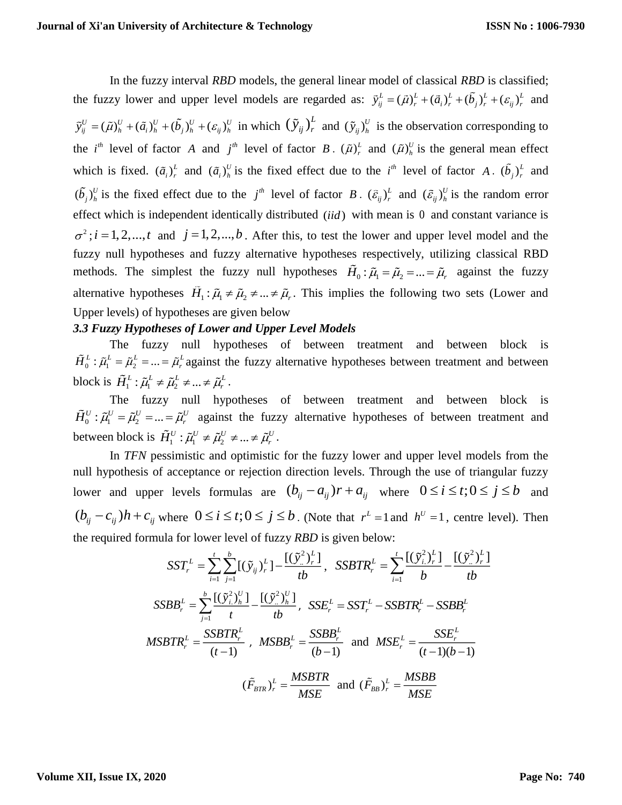In the fuzzy interval *RBD* models, the general linear model of classical *RBD* is classified; the fuzzy lower and upper level models are regarded as:  $\tilde{y}_{ij}^L = (\tilde{\mu})_r^L + (\tilde{a}_i)_r^L + (b_j)_r^L + (\varepsilon_{ij})_r^L$  and  $\tilde{y}_{ij}^U = (\tilde{\mu})_h^U + (\tilde{\alpha}_i)_h^U + (\tilde{\beta}_j)_h^U + (\varepsilon_{ij})_h^U$  in which  $(\tilde{y}_{ij})_r^L$  and  $(\tilde{y}_{ij})_h^U$  is the observation corresponding to the *i*<sup>th</sup> level of factor A and *j*<sup>th</sup> level of factor B.  $(\tilde{\mu})_r^L$  and  $(\tilde{\mu})_h^U$  is the general mean effect which is fixed.  $(\tilde{a}_i)^L$  and  $(\tilde{a}_i)^U$  is the fixed effect due to the  $i^h$  level of factor A.  $(b_j)^L$  and  $(b_j)_h^U$  is the fixed effect due to the  $j^h$  level of factor B.  $(\tilde{\varepsilon}_{ij})_r^L$  and  $(\tilde{\varepsilon}_{ij})_h^U$  is the random error effect which is independent identically distributed (*iid*) with mean is 0 and constant variance is  $\sigma^2$ ; *i* = 1, 2,..., *t* and *j* = 1, 2,..., *b*. After this, to test the lower and upper level model and the fuzzy null hypotheses and fuzzy alternative hypotheses respectively, utilizing classical RBD methods. The simplest the fuzzy null hypotheses  $H_0: \tilde{\mu}_1 = \tilde{\mu}_2 = ... = \tilde{\mu}_r$  against the fuzzy alternative hypotheses  $H_1: \tilde{\mu}_1 \neq \tilde{\mu}_2 \neq ... \neq \tilde{\mu}_r$ . This implies the following two sets (Lower and Upper levels) of hypotheses are given below

### *3.3 Fuzzy Hypotheses of Lower and Upper Level Models*

The fuzzy null hypotheses of between treatment and between block is  $H_0^L$ :  $\tilde{\mu}_1^L = \tilde{\mu}_2^L = ... = \tilde{\mu}_r^L$  against the fuzzy alternative hypotheses between treatment and between block is  $\tilde{H}_1^L : \tilde{\mu}_1^L \neq \tilde{\mu}_2^L \neq ... \neq \tilde{\mu}_r^L$ .

The fuzzy null hypotheses of between treatment and between block is  $H_0^U$ :  $\tilde{\mu}_1^U = \tilde{\mu}_2^U = ... = \tilde{\mu}_r^U$  against the fuzzy alternative hypotheses of between treatment and between block is  $\tilde{H}_1^U : \tilde{\mu}_1^U \neq \tilde{\mu}_2^U \neq ... \neq \tilde{\mu}_r^U$ .

In *TFN* pessimistic and optimistic for the fuzzy lower and upper level models from the null hypothesis of acceptance or rejection direction levels. Through the use of triangular fuzzy lower and upper levels formulas are  $(b_{ij} - a_{ij})r + a_{ij}$  where  $0 \le i \le t; 0 \le j \le b$  and  $(b_{ij} - c_{ij})h + c_{ij}$  where  $0 \le i \le t; 0 \le j \le b$ . (Note that  $r^L = 1$  and  $h^U = 1$ , centre level). Then the required formula for lower level of fuzzy *RBD* is given below:

$$
SST_r^L = \sum_{i=1}^t \sum_{j=1}^b [(\tilde{y}_{ij})_r^L] - \frac{[(\tilde{y}_{..}^2)_r^L]}{tb}, \quad SSBTR_r^L = \sum_{i=1}^t \frac{[(\tilde{y}_{i.}^2)_r^L]}{b} - \frac{[(\tilde{y}_{..}^2)_r^L]}{tb}
$$
  
\n
$$
SSBB_r^L = \sum_{j=1}^b \frac{[(\tilde{y}_{i.}^2)_h^U]}{t} - \frac{[(\tilde{y}_{..}^2)_h^U]}{tb}, \quad SSE_r^L = SST_r^L - SSBTR_r^L - SSBB_r^L
$$
  
\n
$$
MSBTR_r^L = \frac{SSBTR_r^L}{(t-1)}, \quad MSBB_r^L = \frac{SSBB_r^L}{(b-1)} \quad \text{and} \quad MSE_r^L = \frac{SSE_r^L}{(t-1)(b-1)}
$$
  
\n
$$
(\tilde{F}_{BTR})_r^L = \frac{MSBTR}{MSE} \quad \text{and} \quad (\tilde{F}_{BB})_r^L = \frac{MSBB}{MSE}
$$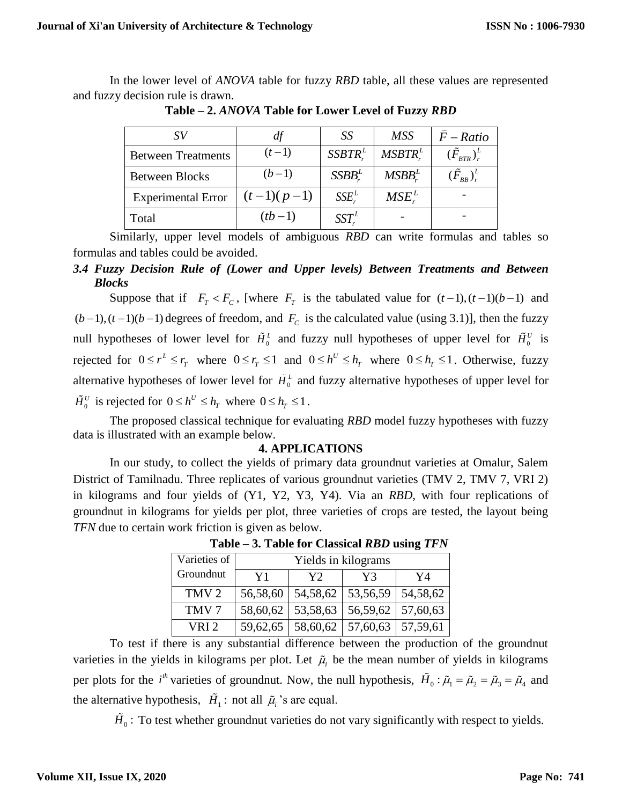In the lower level of *ANOVA* table for fuzzy *RBD* table, all these values are represented and fuzzy decision rule is drawn.

|                           | df           | SS            | <b>MSS</b>     | $F - Ratio$                                                     |
|---------------------------|--------------|---------------|----------------|-----------------------------------------------------------------|
| <b>Between Treatments</b> | $(t-1)$      | $SSBTR_r^L$   | $MSBTR_{r}^L$  | $(\tilde{F}_{\scriptscriptstyle RTR})_{\scriptscriptstyle r}^L$ |
| <b>Between Blocks</b>     | $(b-1)$      | $SSBB^L$      | $MSBB_{r}^{L}$ | $(\tilde{F}_{_{RB}})^L_r$                                       |
| <b>Experimental Error</b> | $(t-1)(p-1)$ | $SSE_{r}^{L}$ | $MSE_{r}^{L}$  |                                                                 |
| Total                     | $(tb-1)$     | $SST^L$       |                |                                                                 |

**Table – 2.** *ANOVA* **Table for Lower Level of Fuzzy** *RBD*

Similarly, upper level models of ambiguous *RBD* can write formulas and tables so formulas and tables could be avoided.

*3.4 Fuzzy Decision Rule of (Lower and Upper levels) Between Treatments and Between Blocks*

Suppose that if  $F_T < F_C$ , [where  $F_T$  is the tabulated value for  $(t-1)$ ,  $(t-1)(b-1)$  and  $(b-1)$ ,  $(t-1)(b-1)$  degrees of freedom, and  $F_c$  is the calculated value (using 3.1)], then the fuzzy null hypotheses of lower level for  $H_0^L$  and fuzzy null hypotheses of upper level for  $H_0^U$  is rejected for  $0 \le r^L \le r$  where  $0 \le r$  is  $1$  and  $0 \le h^U \le h$  where  $0 \le h$  is  $1$ . Otherwise, fuzzy alternative hypotheses of lower level for  $H_0^L$  and fuzzy alternative hypotheses of upper level for  $\tilde{H}_{0}^{U}$  is rejected for  $0 \leq h^{U} \leq h_{T}$  where  $0 \leq h_{T} \leq 1$ .

The proposed classical technique for evaluating *RBD* model fuzzy hypotheses with fuzzy data is illustrated with an example below.

#### **4. APPLICATIONS**

In our study, to collect the yields of primary data groundnut varieties at Omalur, Salem District of Tamilnadu. Three replicates of various groundnut varieties (TMV 2, TMV 7, VRI 2) in kilograms and four yields of (Y1, Y2, Y3, Y4). Via an *RBD*, with four replications of groundnut in kilograms for yields per plot, three varieties of crops are tested, the layout being *TFN* due to certain work friction is given as below.

| Varieties of     | Yields in kilograms |                       |          |          |
|------------------|---------------------|-----------------------|----------|----------|
| Groundnut        | Y1                  | Y2.                   | Y3       | Y4       |
| TMV <sub>2</sub> | 56,58,60            | 54,58,62              | 53,56,59 | 54,58,62 |
| TMV 7            | 58,60,62            | 53,58,63              | 56,59,62 | 57,60,63 |
| VRI <sub>2</sub> |                     | $59,62,65$   58,60,62 | 57,60,63 | 57,59,61 |

**Table – 3. Table for Classical** *RBD* **using** *TFN*

To test if there is any substantial difference between the production of the groundnut varieties in the yields in kilograms per plot. Let  $\tilde{\mu}_i$  be the mean number of yields in kilograms per plots for the *i*<sup>th</sup> varieties of groundnut. Now, the null hypothesis,  $\tilde{H}_0$ :  $\tilde{\mu}_1 = \tilde{\mu}_2 = \tilde{\mu}_3 = \tilde{\mu}_4$  and the alternative hypothesis,  $H_1$ : not all  $\tilde{\mu}_i$ 's are equal.

 $H_0$ : To test whether groundnut varieties do not vary significantly with respect to yields.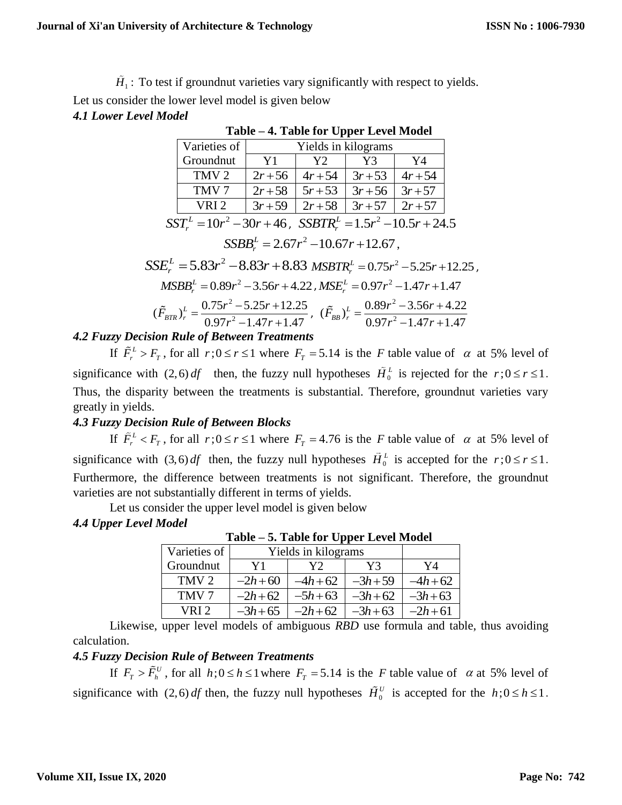$H_1$ : To test if groundnut varieties vary significantly with respect to yields.

Let us consider the lower level model is given below

### *4.1 Lower Level Model*

|                                                                    | Varieties of     | Yields in kilograms |           |                   |           |  |
|--------------------------------------------------------------------|------------------|---------------------|-----------|-------------------|-----------|--|
|                                                                    | Groundnut        | Y1                  | Y2        | Y3                | Y4        |  |
|                                                                    | TMV <sub>2</sub> | $2r + 56$           | $4r + 54$ | $3r + 53$         | $4r + 54$ |  |
|                                                                    | TMV <sub>7</sub> | $2r + 58$           | $5r + 53$ | $3r+56$           | $3r + 57$ |  |
|                                                                    | VRI <sub>2</sub> | $3r + 59$           | $2r+58$   | $3r+57$   $2r+57$ |           |  |
| $SST_r^L = 10r^2 - 30r + 46$ , $SSBTR_r^L = 1.5r^2 - 10.5r + 24.5$ |                  |                     |           |                   |           |  |
| $SSBB_r^L = 2.67r^2 - 10.67r + 12.67$ ,                            |                  |                     |           |                   |           |  |

# **Table – 4. Table for Upper Level Model**

$$
SSE_r^L = 5.83r^2 - 8.83r + 8.83 \text{ MSBTR}_r^L = 0.75r^2 - 5.25r + 12.25,
$$
  
\n
$$
MSBB_r^L = 0.89r^2 - 3.56r + 4.22, \text{MSE}_r^L = 0.97r^2 - 1.47r + 1.47
$$
  
\n
$$
(\tilde{F}_{BTR})_r^L = \frac{0.75r^2 - 5.25r + 12.25}{0.97r^2 - 1.47r + 1.47}, \quad (\tilde{F}_{BB})_r^L = \frac{0.89r^2 - 3.56r + 4.22}{0.97r^2 - 1.47r + 1.47}
$$

# *4.2 Fuzzy Decision Rule of Between Treatments*

If  $\tilde{F}_r^L > F_T$ , for all  $r; 0 \le r \le 1$  where  $F_T = 5.14$  is the *F* table value of  $\alpha$  at 5% level of significance with  $(2,6) df$  then, the fuzzy null hypotheses  $H_0^L$  is rejected for the  $r; 0 \le r \le 1$ . Thus, the disparity between the treatments is substantial. Therefore, groundnut varieties vary greatly in yields.

# *4.3 Fuzzy Decision Rule of Between Blocks*

If  $\tilde{F}_r^L < F_T$ , for all  $r; 0 \le r \le 1$  where  $F_T = 4.76$  is the F table value of  $\alpha$  at 5% level of significance with  $(3,6) df$  then, the fuzzy null hypotheses  $H_0^L$  is accepted for the  $r: 0 \le r \le 1$ . Furthermore, the difference between treatments is not significant. Therefore, the groundnut varieties are not substantially different in terms of yields.

Let us consider the upper level model is given below

# *4.4 Upper Level Model*

| Varieties of     | Yields in kilograms |          |          |          |
|------------------|---------------------|----------|----------|----------|
| Groundnut        | Y1                  | Y2.      | Y3       | Y4       |
| TMV <sub>2</sub> | $-2h+60$            | $-4h+62$ | $-3h+59$ | $-4h+62$ |
| TMV <sub>7</sub> | $-2h+62$            | $-5h+63$ | $-3h+62$ | $-3h+63$ |
| VRI 2.           | $-3h+65$            | $-2h+62$ | $-3h+63$ | $-2h+61$ |

**Table – 5. Table for Upper Level Model**

Likewise, upper level models of ambiguous *RBD* use formula and table, thus avoiding calculation.

# *4.5 Fuzzy Decision Rule of Between Treatments*

If  $F_T > F_h^U$ , for all  $h$ ; $0 \le h \le 1$  where  $F_T = 5.14$  is the *F* table value of  $\alpha$  at 5% level of significance with  $(2,6)$  *df* then, the fuzzy null hypotheses  $\hat{H}_0^U$  is accepted for the  $h$ ;  $0 \le h \le 1$ .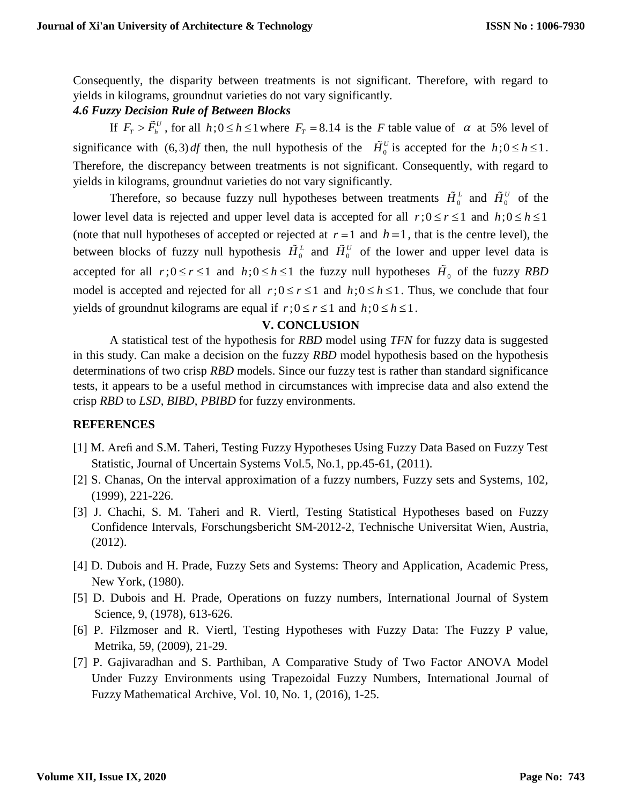Consequently, the disparity between treatments is not significant. Therefore, with regard to yields in kilograms, groundnut varieties do not vary significantly.

### *4.6 Fuzzy Decision Rule of Between Blocks*

If  $F_T > F_h^U$ , for all  $h$ ;  $0 \le h \le 1$  where  $F_T = 8.14$  is the *F* table value of  $\alpha$  at 5% level of significance with  $(6,3)$  *df* then, the null hypothesis of the  $H_0^U$  is accepted for the  $h$ ;  $0 \le h \le 1$ . Therefore, the discrepancy between treatments is not significant. Consequently, with regard to yields in kilograms, groundnut varieties do not vary significantly.

Therefore, so because fuzzy null hypotheses between treatments  $H_0^L$  and  $H_0^U$  of the lower level data is rejected and upper level data is accepted for all  $r$ *;*  $0 \le r \le 1$  and  $h$ *;*  $0 \le h \le 1$ (note that null hypotheses of accepted or rejected at  $r = 1$  and  $h = 1$ , that is the centre level), the between blocks of fuzzy null hypothesis  $H_0^L$  and  $H_0^U$  of the lower and upper level data is accepted for all  $r$ ;  $0 \le r \le 1$  and  $h$ ;  $0 \le h \le 1$  the fuzzy null hypotheses  $H_0$  of the fuzzy *RBD* model is accepted and rejected for all  $r$ ;  $0 \le r \le 1$  and  $h$ ;  $0 \le h \le 1$ . Thus, we conclude that four yields of groundnut kilograms are equal if  $r$ ;  $0 \le r \le 1$  and  $h$ ;  $0 \le h \le 1$ .

#### **V. CONCLUSION**

A statistical test of the hypothesis for *RBD* model using *TFN* for fuzzy data is suggested in this study. Can make a decision on the fuzzy *RBD* model hypothesis based on the hypothesis determinations of two crisp *RBD* models. Since our fuzzy test is rather than standard significance tests, it appears to be a useful method in circumstances with imprecise data and also extend the crisp *RBD* to *LSD*, *BIBD*, *PBIBD* for fuzzy environments.

### **REFERENCES**

- [1] M. Arefi and S.M. Taheri, Testing Fuzzy Hypotheses Using Fuzzy Data Based on Fuzzy Test Statistic, Journal of Uncertain Systems Vol.5, No.1, pp.45-61, (2011).
- [2] S. Chanas, On the interval approximation of a fuzzy numbers, Fuzzy sets and Systems, 102, (1999), 221-226.
- [3] J. Chachi, S. M. Taheri and R. Viertl, Testing Statistical Hypotheses based on Fuzzy Confidence Intervals, Forschungsbericht SM-2012-2, Technische Universitat Wien, Austria, (2012).
- [4] D. Dubois and H. Prade, Fuzzy Sets and Systems: Theory and Application, Academic Press, New York, (1980).
- [5] D. Dubois and H. Prade, Operations on fuzzy numbers, International Journal of System Science, 9, (1978), 613-626.
- [6] P. Filzmoser and R. Viertl, Testing Hypotheses with Fuzzy Data: The Fuzzy P value, Metrika, 59, (2009), 21-29.
- [7] P. Gajivaradhan and S. Parthiban, A Comparative Study of Two Factor ANOVA Model Under Fuzzy Environments using Trapezoidal Fuzzy Numbers, International Journal of Fuzzy Mathematical Archive, Vol. 10, No. 1, (2016), 1-25.